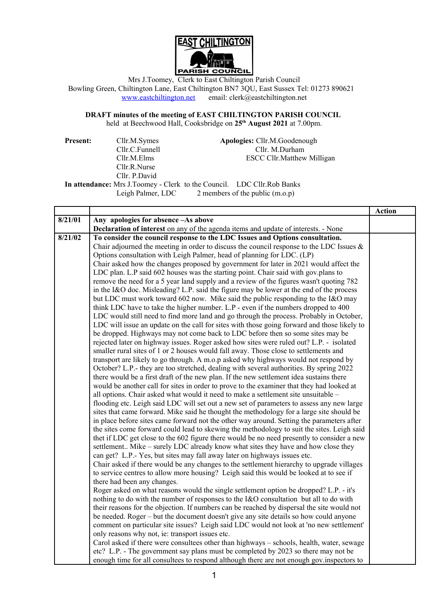

Mrs J.Toomey, Clerk to East Chiltington Parish Council Bowling Green, Chiltington Lane, East Chiltington BN7 3QU, East Sussex Tel: 01273 890621 [www.eastchiltington.net](http://www.eastchiltington.net/) email: clerk@eastchiltington.net

**DRAFT minutes of the meeting of EAST CHILTINGTON PARISH COUNCIL** held at Beechwood Hall, Cooksbridge on **25th August 2021** at 7.00pm.

**Present:** Cllr.M.Symes **Apologies:** Cllr.M.Goodenough Cllr.C.Funnell Cllr. M.Durham Cllr.M.Elms ESCC Cllr.Matthew Milligan Cllr.R.Nurse Cllr. P.David **In attendance:** Mrs J.Toomey - Clerk to the Council. LDC Cllr.Rob Banks<br>Leigh Palmer, LDC 2 members of the public (m.o.p)  $2$  members of the public  $(m.o.p)$ 

|         |                                                                                             | <b>Action</b> |
|---------|---------------------------------------------------------------------------------------------|---------------|
| 8/21/01 | Any apologies for absence -As above                                                         |               |
|         | Declaration of interest on any of the agenda items and update of interests. - None          |               |
| 8/21/02 | To consider the council response to the LDC Issues and Options consultation.                |               |
|         | Chair adjourned the meeting in order to discuss the council response to the LDC Issues $\&$ |               |
|         | Options consultation with Leigh Palmer, head of planning for LDC. (LP)                      |               |
|         | Chair asked how the changes proposed by government for later in 2021 would affect the       |               |
|         | LDC plan. L.P said 602 houses was the starting point. Chair said with gov.plans to          |               |
|         | remove the need for a 5 year land supply and a review of the figures wasn't quoting 782     |               |
|         | in the I&O doc. Misleading? L.P. said the figure may be lower at the end of the process     |               |
|         | but LDC must work toward 602 now. Mike said the public responding to the I&O may            |               |
|         | think LDC have to take the higher number. L.P - even if the numbers dropped to 400          |               |
|         | LDC would still need to find more land and go through the process. Probably in October,     |               |
|         | LDC will issue an update on the call for sites with those going forward and those likely to |               |
|         | be dropped. Highways may not come back to LDC before then so some sites may be              |               |
|         | rejected later on highway issues. Roger asked how sites were ruled out? L.P. - isolated     |               |
|         | smaller rural sites of 1 or 2 houses would fall away. Those close to settlements and        |               |
|         | transport are likely to go through. A m.o.p asked why highways would not respond by         |               |
|         | October? L.P.- they are too stretched, dealing with several authorities. By spring 2022     |               |
|         | there would be a first draft of the new plan. If the new settlement idea sustains there     |               |
|         | would be another call for sites in order to prove to the examiner that they had looked at   |               |
|         | all options. Chair asked what would it need to make a settlement site unsuitable -          |               |
|         | flooding etc. Leigh said LDC will set out a new set of parameters to assess any new large   |               |
|         | sites that came forward. Mike said he thought the methodology for a large site should be    |               |
|         | in place before sites came forward not the other way around. Setting the parameters after   |               |
|         | the sites come forward could lead to skewing the methodology to suit the sites. Leigh said  |               |
|         | thet if LDC get close to the 602 figure there would be no need presently to consider a new  |               |
|         | settlement Mike – surely LDC already know what sites they have and how close they           |               |
|         | can get? L.P.- Yes, but sites may fall away later on highways issues etc.                   |               |
|         | Chair asked if there would be any changes to the settlement hierarchy to upgrade villages   |               |
|         | to service centres to allow more housing? Leigh said this would be looked at to see if      |               |
|         | there had been any changes.                                                                 |               |
|         | Roger asked on what reasons would the single settlement option be dropped? L.P. - it's      |               |
|         | nothing to do with the number of responses to the I&O consultation but all to do with       |               |
|         | their reasons for the objection. If numbers can be reached by dispersal the site would not  |               |
|         | be needed. Roger – but the document doesn't give any site details so how could anyone       |               |
|         | comment on particular site issues? Leigh said LDC would not look at 'no new settlement'     |               |
|         | only reasons why not, ie: transport issues etc.                                             |               |
|         | Carol asked if there were consultees other than highways – schools, health, water, sewage   |               |
|         | etc? L.P. - The government say plans must be completed by 2023 so there may not be          |               |
|         | enough time for all consultees to respond although there are not enough gov.inspectors to   |               |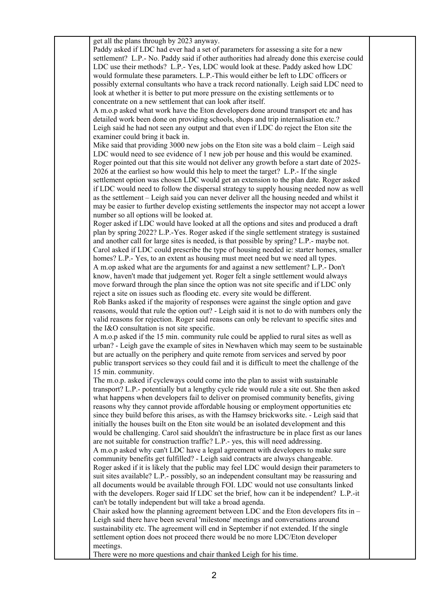get all the plans through by 2023 anyway.

Paddy asked if LDC had ever had a set of parameters for assessing a site for a new settlement? L.P.- No. Paddy said if other authorities had already done this exercise could LDC use their methods? L.P.- Yes, LDC would look at these. Paddy asked how LDC would formulate these parameters. L.P.-This would either be left to LDC officers or possibly external consultants who have a track record nationally. Leigh said LDC need to look at whether it is better to put more pressure on the existing settlements or to concentrate on a new settlement that can look after itself.

A m.o.p asked what work have the Eton developers done around transport etc and has detailed work been done on providing schools, shops and trip internalisation etc.? Leigh said he had not seen any output and that even if LDC do reject the Eton site the examiner could bring it back in.

Mike said that providing 3000 new jobs on the Eton site was a bold claim – Leigh said LDC would need to see evidence of 1 new job per house and this would be examined. Roger pointed out that this site would not deliver any growth before a start date of 2025- 2026 at the earliest so how would this help to meet the target? L.P.- If the single settlement option was chosen LDC would get an extension to the plan date. Roger asked if LDC would need to follow the dispersal strategy to supply housing needed now as well as the settlement – Leigh said you can never deliver all the housing needed and whilst it may be easier to further develop existing settlements the inspector may not accept a lower number so all options will be looked at.

Roger asked if LDC would have looked at all the options and sites and produced a draft plan by spring 2022? L.P.-Yes. Roger asked if the single settlement strategy is sustained and another call for large sites is needed, is that possible by spring? L.P.- maybe not. Carol asked if LDC could prescribe the type of housing needed ie: starter homes, smaller homes? L.P.- Yes, to an extent as housing must meet need but we need all types.

A m.op asked what are the arguments for and against a new settlement? L.P.- Don't know, haven't made that judgement yet. Roger felt a single settlement would always move forward through the plan since the option was not site specific and if LDC only reject a site on issues such as flooding etc. every site would be different.

Rob Banks asked if the majority of responses were against the single option and gave reasons, would that rule the option out? - Leigh said it is not to do with numbers only the valid reasons for rejection. Roger said reasons can only be relevant to specific sites and the I&O consultation is not site specific.

A m.o.p asked if the 15 min. community rule could be applied to rural sites as well as urban? - Leigh gave the example of sites in Newhaven which may seem to be sustainable but are actually on the periphery and quite remote from services and served by poor public transport services so they could fail and it is difficult to meet the challenge of the 15 min. community.

The m.o.p. asked if cycleways could come into the plan to assist with sustainable transport? L.P.- potentially but a lengthy cycle ride would rule a site out. She then asked what happens when developers fail to deliver on promised community benefits, giving reasons why they cannot provide affordable housing or employment opportunities etc since they build before this arises, as with the Hamsey brickworks site. - Leigh said that initially the houses built on the Eton site would be an isolated development and this would be challenging. Carol said shouldn't the infrastructure be in place first as our lanes are not suitable for construction traffic? L.P.- yes, this will need addressing. A m.o.p asked why can't LDC have a legal agreement with developers to make sure community benefits get fulfilled? - Leigh said contracts are always changeable. Roger asked if it is likely that the public may feel LDC would design their parameters to suit sites available? L.P.- possibly, so an independent consultant may be reassuring and all documents would be available through FOI. LDC would not use consultants linked with the developers. Roger said If LDC set the brief, how can it be independent? L.P.-it can't be totally independent but will take a broad agenda.

Chair asked how the planning agreement between LDC and the Eton developers fits in  $-$ Leigh said there have been several 'milestone' meetings and conversations around sustainability etc. The agreement will end in September if not extended. If the single settlement option does not proceed there would be no more LDC/Eton developer meetings.

There were no more questions and chair thanked Leigh for his time.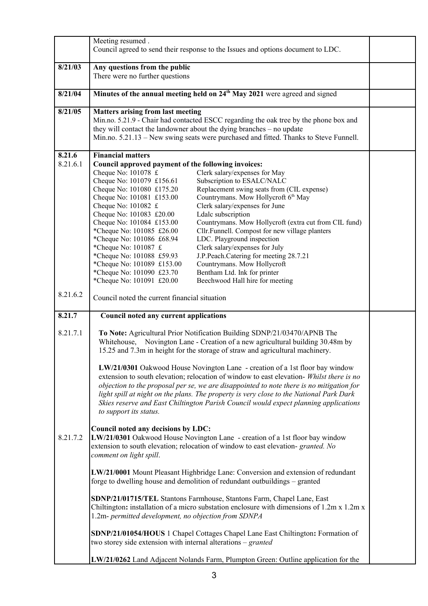|                    | Meeting resumed.                                                                                                                                                                                                                                                                                                                                                                                                                                                                                                                                                                                                                                                                                                                                                                                                                                                                                                                                                                                                                                            |  |
|--------------------|-------------------------------------------------------------------------------------------------------------------------------------------------------------------------------------------------------------------------------------------------------------------------------------------------------------------------------------------------------------------------------------------------------------------------------------------------------------------------------------------------------------------------------------------------------------------------------------------------------------------------------------------------------------------------------------------------------------------------------------------------------------------------------------------------------------------------------------------------------------------------------------------------------------------------------------------------------------------------------------------------------------------------------------------------------------|--|
|                    | Council agreed to send their response to the Issues and options document to LDC.                                                                                                                                                                                                                                                                                                                                                                                                                                                                                                                                                                                                                                                                                                                                                                                                                                                                                                                                                                            |  |
| 8/21/03            | Any questions from the public                                                                                                                                                                                                                                                                                                                                                                                                                                                                                                                                                                                                                                                                                                                                                                                                                                                                                                                                                                                                                               |  |
|                    | There were no further questions                                                                                                                                                                                                                                                                                                                                                                                                                                                                                                                                                                                                                                                                                                                                                                                                                                                                                                                                                                                                                             |  |
| 8/21/04            | Minutes of the annual meeting held on 24 <sup>th</sup> May 2021 were agreed and signed                                                                                                                                                                                                                                                                                                                                                                                                                                                                                                                                                                                                                                                                                                                                                                                                                                                                                                                                                                      |  |
| 8/21/05            | <b>Matters arising from last meeting</b><br>Min.no. 5.21.9 - Chair had contacted ESCC regarding the oak tree by the phone box and<br>they will contact the landowner about the dying branches - no update<br>Min.no. 5.21.13 – New swing seats were purchased and fitted. Thanks to Steve Funnell.                                                                                                                                                                                                                                                                                                                                                                                                                                                                                                                                                                                                                                                                                                                                                          |  |
| 8.21.6<br>8.21.6.1 | <b>Financial matters</b><br>Council approved payment of the following invoices:<br>Clerk salary/expenses for May<br>Cheque No: $101078 \text{ } \text{£}$<br>Subscription to ESALC/NALC<br>Cheque No: 101079 £156.61<br>Replacement swing seats from (CIL expense)<br>Cheque No: 101080 £175.20<br>Countrymans. Mow Hollycroft 6th May<br>Cheque No: 101081 £153.00<br>Cheque No: $101082 \text{ } \text{£}$<br>Clerk salary/expenses for June<br>Ldalc subscription<br>Cheque No: 101083 £20.00<br>Countrymans. Mow Hollycroft (extra cut from CIL fund)<br>Cheque No: 101084 £153.00<br>*Cheque No: 101085 £26.00<br>Cllr.Funnell. Compost for new village planters<br>*Cheque No: 101086 £68.94<br>LDC. Playground inspection<br>*Cheque No: 101087 £<br>Clerk salary/expenses for July<br>*Cheque No: 101088 £59.93<br>J.P.Peach.Catering for meeting 28.7.21<br>*Cheque No: 101089 £153.00<br>Countrymans. Mow Hollycroft<br>Bentham Ltd. Ink for printer<br>*Cheque No: 101090 £23.70<br>Beechwood Hall hire for meeting<br>*Cheque No: 101091 £20.00 |  |
| 8.21.6.2           | Council noted the current financial situation                                                                                                                                                                                                                                                                                                                                                                                                                                                                                                                                                                                                                                                                                                                                                                                                                                                                                                                                                                                                               |  |
| 8.21.7             | Council noted any current applications                                                                                                                                                                                                                                                                                                                                                                                                                                                                                                                                                                                                                                                                                                                                                                                                                                                                                                                                                                                                                      |  |
| 8.21.7.1           | To Note: Agricultural Prior Notification Building SDNP/21/03470/APNB The<br>Whitehouse, Novington Lane - Creation of a new agricultural building 30.48m by<br>15.25 and 7.3m in height for the storage of straw and agricultural machinery.                                                                                                                                                                                                                                                                                                                                                                                                                                                                                                                                                                                                                                                                                                                                                                                                                 |  |
|                    | LW/21/0301 Oakwood House Novington Lane - creation of a 1st floor bay window<br>extension to south elevation; relocation of window to east elevation- Whilst there is no<br>objection to the proposal per se, we are disappointed to note there is no mitigation for<br>light spill at night on the plans. The property is very close to the National Park Dark<br>Skies reserve and East Chiltington Parish Council would expect planning applications<br>to support its status.                                                                                                                                                                                                                                                                                                                                                                                                                                                                                                                                                                           |  |
| 8.21.7.2           | Council noted any decisions by LDC:<br>LW/21/0301 Oakwood House Novington Lane - creation of a 1st floor bay window<br>extension to south elevation; relocation of window to east elevation- granted. No<br>comment on light spill.                                                                                                                                                                                                                                                                                                                                                                                                                                                                                                                                                                                                                                                                                                                                                                                                                         |  |
|                    | LW/21/0001 Mount Pleasant Highbridge Lane: Conversion and extension of redundant<br>forge to dwelling house and demolition of redundant outbuildings - granted                                                                                                                                                                                                                                                                                                                                                                                                                                                                                                                                                                                                                                                                                                                                                                                                                                                                                              |  |
|                    | SDNP/21/01715/TEL Stantons Farmhouse, Stantons Farm, Chapel Lane, East<br>Chiltington: installation of a micro substation enclosure with dimensions of $1.2m \times 1.2m \times$<br>1.2m- permitted development, no objection from SDNPA                                                                                                                                                                                                                                                                                                                                                                                                                                                                                                                                                                                                                                                                                                                                                                                                                    |  |
|                    | SDNP/21/01054/HOUS 1 Chapel Cottages Chapel Lane East Chiltington: Formation of<br>two storey side extension with internal alterations – granted                                                                                                                                                                                                                                                                                                                                                                                                                                                                                                                                                                                                                                                                                                                                                                                                                                                                                                            |  |
|                    | LW/21/0262 Land Adjacent Nolands Farm, Plumpton Green: Outline application for the                                                                                                                                                                                                                                                                                                                                                                                                                                                                                                                                                                                                                                                                                                                                                                                                                                                                                                                                                                          |  |